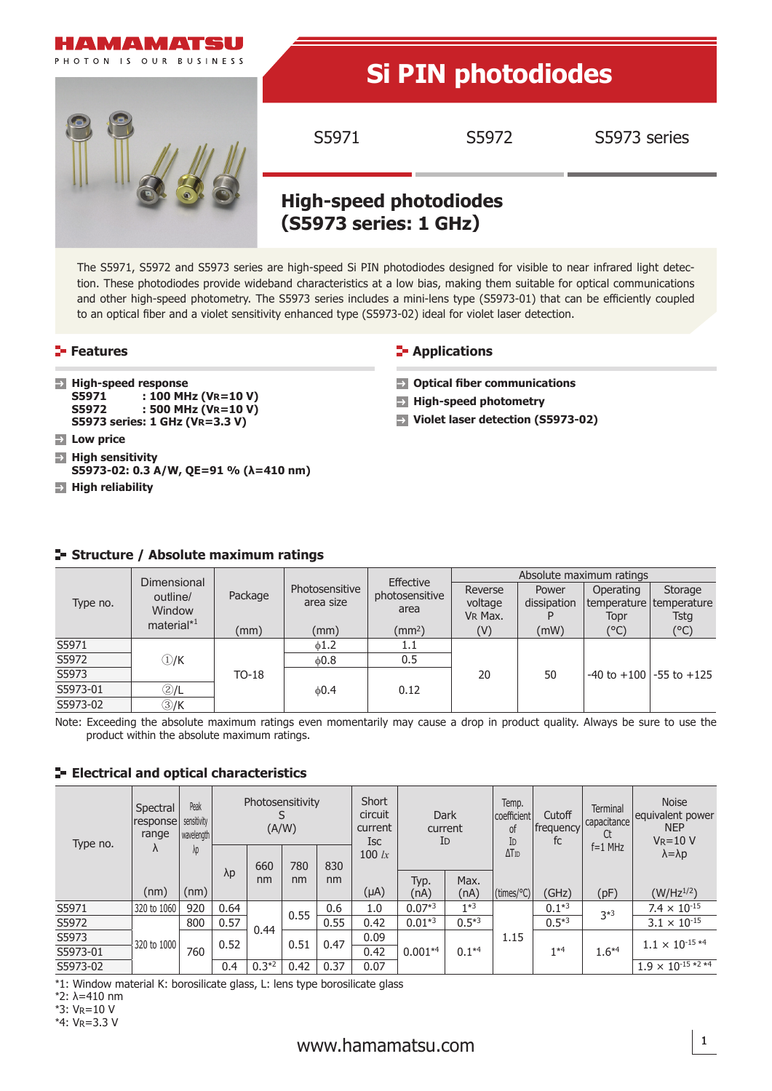

The S5971, S5972 and S5973 series are high-speed Si PIN photodiodes designed for visible to near infrared light detection. These photodiodes provide wideband characteristics at a low bias, making them suitable for optical communications and other high-speed photometry. The S5973 series includes a mini-lens type (S5973-01) that can be efficiently coupled to an optical fiber and a violet sensitivity enhanced type (S5973-02) ideal for violet laser detection.

# **Features Applications CO**

|  | <b>Applications</b> |  |  |
|--|---------------------|--|--|
|  |                     |  |  |

- **High-speed response**<br>**S5971** : 100 MH S5971 : 100 MHz (VR=10 V)<br>S5972 : 500 MHz (VP=10 V) **S5972 : 500 MHz (VR=10 V)**
- **S5973 series: 1 GHz (VR=3.3 V)**
- **Low price**
- **High sensitivity S5973-02: 0.3 A/W, QE=91 % (λ=410 nm)**
- **High reliability**

- **Optical fiber communications**
- **High-speed photometry**
- **Violet laser detection (S5973-02)**

|          | Dimensional        |         |                             | Effective              | Absolute maximum ratings      |                      |                                                |                                 |  |  |
|----------|--------------------|---------|-----------------------------|------------------------|-------------------------------|----------------------|------------------------------------------------|---------------------------------|--|--|
| Type no. | outline/<br>Window | Package | Photosensitive<br>area size | photosensitive<br>area | Reverse<br>voltage<br>VR Max. | Power<br>dissipation | Operating<br>temperature   temperature<br>Topr | Storage<br>Tsta                 |  |  |
|          | material $*1$      | (mm)    | (mm)                        | (mm <sup>2</sup> )     | (V)                           | (mW)                 | (°C)                                           | (°C)                            |  |  |
| S5971    |                    |         | 1.1<br>61.2                 |                        |                               |                      |                                                |                                 |  |  |
| S5972    | $\bigcirc$ /K      |         | 0.8                         | 0.5                    |                               | 50                   |                                                | $-40$ to $+100$ $-55$ to $+125$ |  |  |
| S5973    |                    | TO-18   |                             |                        | 20                            |                      |                                                |                                 |  |  |
| S5973-01 | 2/L                |         | &0.4                        | 0.12                   |                               |                      |                                                |                                 |  |  |
| S5973-02 | 3)/K               |         |                             |                        |                               |                      |                                                |                                 |  |  |

# **Structure / Absolute maximum ratings**

Note: Exceeding the absolute maximum ratings even momentarily may cause a drop in product quality. Always be sure to use the product within the absolute maximum ratings.

# **ELECTRICAL AND OPTICAL CHARACTERISTICS**

| Type no. | Spectral<br>response<br>range<br>Λ | Peak<br>sensitivity<br>wavelength<br>λp | Photosensitivity<br>(A/W) |              |          | Short<br>circuit<br>current<br><b>Isc</b> | Dark<br>current<br>ID |            | Temp.<br>coefficient<br>0f<br>ID | Cutoff<br>frequency<br>fc | <b>Terminal</b><br>capacitance<br>Ct | <b>Noise</b><br>equivalent power<br><b>NEP</b><br>$V_R = 10 V$ |                         |
|----------|------------------------------------|-----------------------------------------|---------------------------|--------------|----------|-------------------------------------------|-----------------------|------------|----------------------------------|---------------------------|--------------------------------------|----------------------------------------------------------------|-------------------------|
|          |                                    |                                         | $\lambda p$               | 660          | 780      | 830                                       | 100 $lx$              |            |                                  | $\Delta$ T <sub>ID</sub>  |                                      | $f = 1$ MHz                                                    | $\lambda = \lambda p$   |
|          |                                    |                                         |                           | nm           | nm       | nm                                        |                       | Typ.       | Max.                             |                           |                                      |                                                                |                         |
|          | (nm)                               | (nm)                                    |                           |              |          |                                           | $(\mu A)$             | (nA)       | (nA)                             | $\frac{1}{2}$ (times/°C)  | (GHz)                                | (pF)                                                           | $(W/Hz^{1/2})$          |
| S5971    | 320 to 1060                        | 920                                     | 0.64                      | 0.55<br>0.44 |          | 0.6                                       | 1.0                   | $0.07*3$   | $1*3$                            |                           | $0.1*3$                              | $3*3$                                                          | $7.4 \times 10^{-15}$   |
| S5972    |                                    | 800                                     | 0.57                      |              |          | 0.55                                      | 0.42                  | $0.01*3$   | $0.5*3$                          |                           | $0.5*3$                              |                                                                | $3.1 \times 10^{-15}$   |
| S5973    | 320 to 1000                        |                                         |                           | 0.52         | 0.51     | 0.47                                      | 0.09                  |            | $0.1*4$                          | 1.15                      | $1*4$                                | $1.6*4$                                                        | $1.1 \times 10^{-15*4}$ |
| S5973-01 |                                    | 760                                     |                           |              |          |                                           | 0.42                  | $0.001**4$ |                                  |                           |                                      |                                                                |                         |
| S5973-02 |                                    |                                         |                           | 0.4          | $0.3*^2$ | 0.42                                      | 0.37                  | 0.07       |                                  |                           |                                      |                                                                |                         |

\*1: Window material K: borosilicate glass, L: lens type borosilicate glass

\*4: VR=3.3 V

<sup>\*</sup>2: λ=410 nm

<sup>\*</sup>3: VR=10 V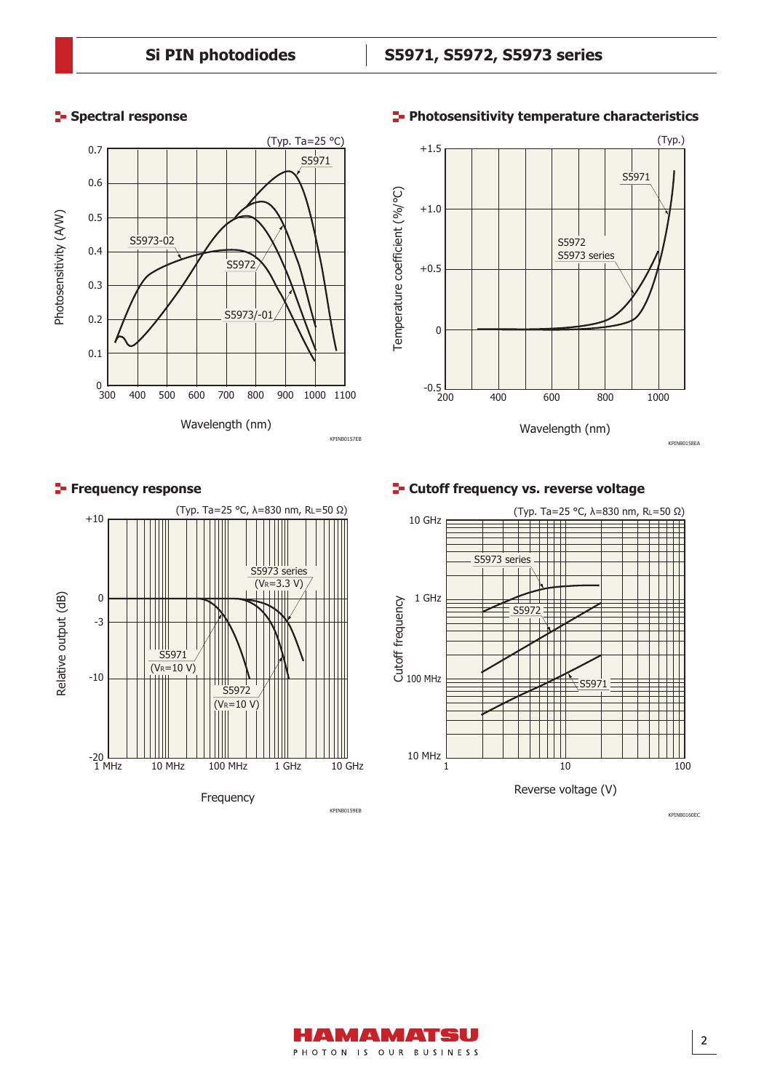# **Spectral response**







**Cutoff frequency vs. reverse voltage** 



### **Photosensitivity temperature characteristics**

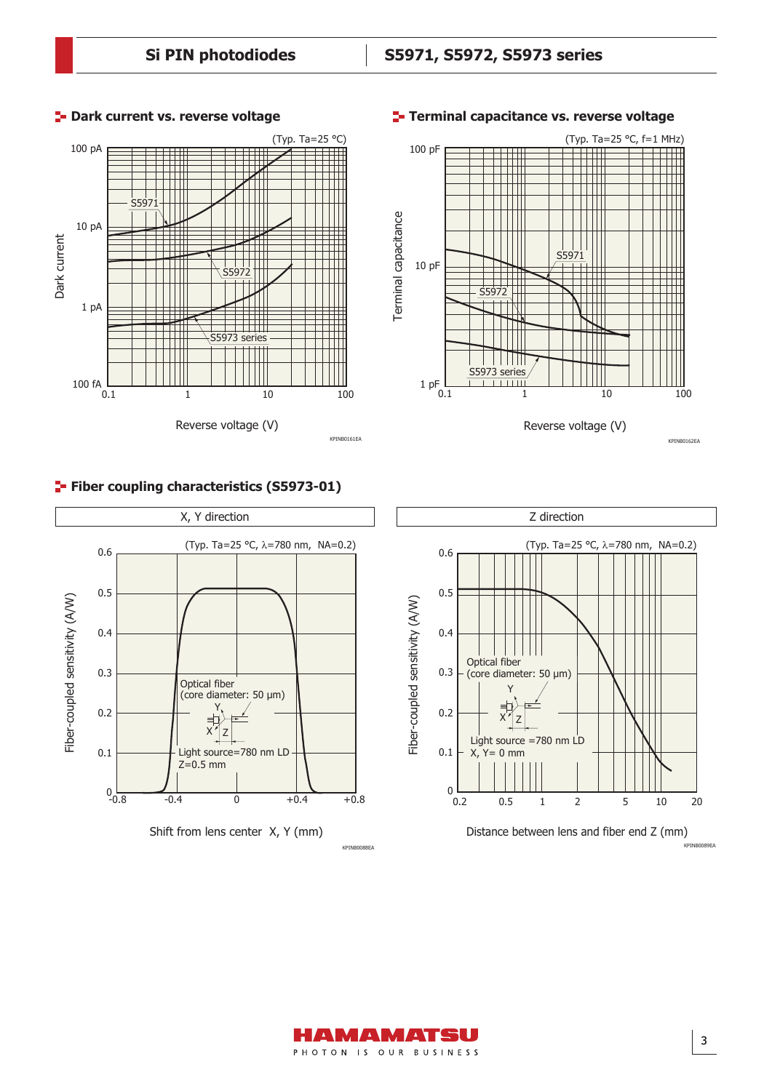

# **Fiber coupling characteristics (S5973-01)**





### **Dark current vs. reverse voltage Terminal capacitance vs. reverse voltage**



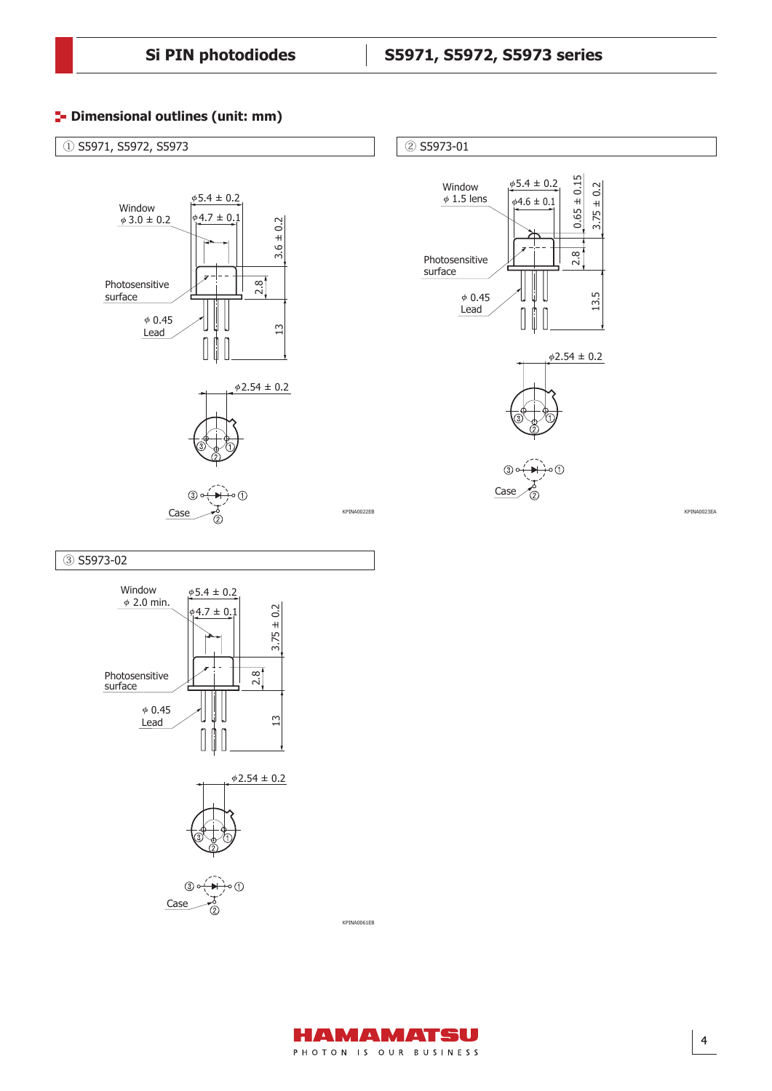# **<sup>1</sup>** Dimensional outlines (unit: mm)



### ③ S5973-02







KPINA0061EB